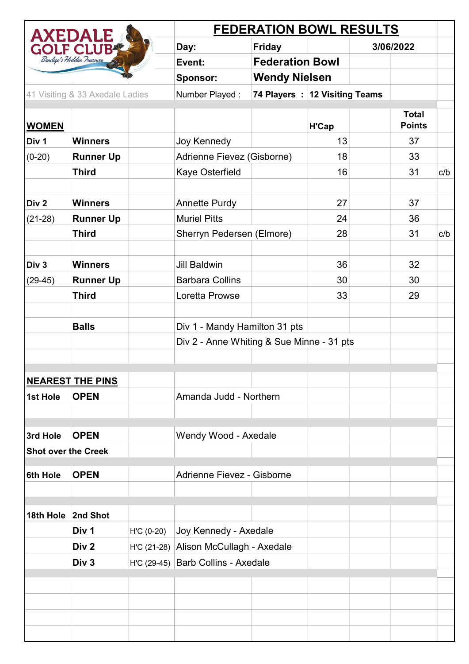| <b>AXEDALE</b><br>GOLF CLUB |                                 |             | <b>FEDERATION BOWL RESULTS</b>            |                               |       |  |               |     |
|-----------------------------|---------------------------------|-------------|-------------------------------------------|-------------------------------|-------|--|---------------|-----|
|                             |                                 |             | Day:                                      | <b>Friday</b>                 |       |  | 3/06/2022     |     |
|                             | Bendigo's Hidden Treasure       |             | Event:                                    | <b>Federation Bowl</b>        |       |  |               |     |
|                             |                                 |             | <b>Sponsor:</b>                           | <b>Wendy Nielsen</b>          |       |  |               |     |
|                             | 41 Visiting & 33 Axedale Ladies |             | Number Played:                            | 74 Players: 12 Visiting Teams |       |  |               |     |
|                             |                                 |             |                                           |                               |       |  | <b>Total</b>  |     |
| <b>WOMEN</b>                |                                 |             |                                           |                               | H'Cap |  | <b>Points</b> |     |
| Div 1                       | <b>Winners</b>                  |             | Joy Kennedy                               |                               | 13    |  | 37            |     |
| $(0-20)$                    | <b>Runner Up</b>                |             | Adrienne Fievez (Gisborne)                |                               | 18    |  | 33            |     |
|                             | <b>Third</b>                    |             | Kaye Osterfield                           |                               | 16    |  | 31            | c/b |
|                             |                                 |             |                                           |                               |       |  |               |     |
| Div 2                       | <b>Winners</b>                  |             | <b>Annette Purdy</b>                      |                               | 27    |  | 37            |     |
| $(21-28)$                   | <b>Runner Up</b>                |             | <b>Muriel Pitts</b>                       |                               | 24    |  | 36            |     |
|                             | <b>Third</b>                    |             | Sherryn Pedersen (Elmore)                 |                               | 28    |  | 31            | c/b |
|                             |                                 |             |                                           |                               |       |  |               |     |
| Div 3                       | <b>Winners</b>                  |             | <b>Jill Baldwin</b>                       |                               | 36    |  | 32            |     |
| $(29-45)$                   | <b>Runner Up</b>                |             | <b>Barbara Collins</b>                    |                               | 30    |  | 30            |     |
|                             | <b>Third</b>                    |             | Loretta Prowse                            |                               | 33    |  | 29            |     |
|                             |                                 |             |                                           |                               |       |  |               |     |
|                             | <b>Balls</b>                    |             | Div 1 - Mandy Hamilton 31 pts             |                               |       |  |               |     |
|                             |                                 |             | Div 2 - Anne Whiting & Sue Minne - 31 pts |                               |       |  |               |     |
|                             |                                 |             |                                           |                               |       |  |               |     |
|                             | <b>NEAREST THE PINS</b>         |             |                                           |                               |       |  |               |     |
| 1st Hole                    | <b>OPEN</b>                     |             | Amanda Judd - Northern                    |                               |       |  |               |     |
|                             |                                 |             |                                           |                               |       |  |               |     |
|                             |                                 |             |                                           |                               |       |  |               |     |
| 3rd Hole                    | <b>OPEN</b>                     |             | Wendy Wood - Axedale                      |                               |       |  |               |     |
| <b>Shot over the Creek</b>  |                                 |             |                                           |                               |       |  |               |     |
| <b>6th Hole</b>             | <b>OPEN</b>                     |             | Adrienne Fievez - Gisborne                |                               |       |  |               |     |
|                             |                                 |             |                                           |                               |       |  |               |     |
|                             |                                 |             |                                           |                               |       |  |               |     |
| 18th Hole                   | 2nd Shot                        |             |                                           |                               |       |  |               |     |
|                             | Div 1                           | $HC (0-20)$ | Joy Kennedy - Axedale                     |                               |       |  |               |     |
|                             | Div <sub>2</sub>                |             | H'C (21-28) Alison McCullagh - Axedale    |                               |       |  |               |     |
|                             | Div <sub>3</sub>                |             | H'C (29-45) Barb Collins - Axedale        |                               |       |  |               |     |
|                             |                                 |             |                                           |                               |       |  |               |     |
|                             |                                 |             |                                           |                               |       |  |               |     |
|                             |                                 |             |                                           |                               |       |  |               |     |
|                             |                                 |             |                                           |                               |       |  |               |     |
|                             |                                 |             |                                           |                               |       |  |               |     |